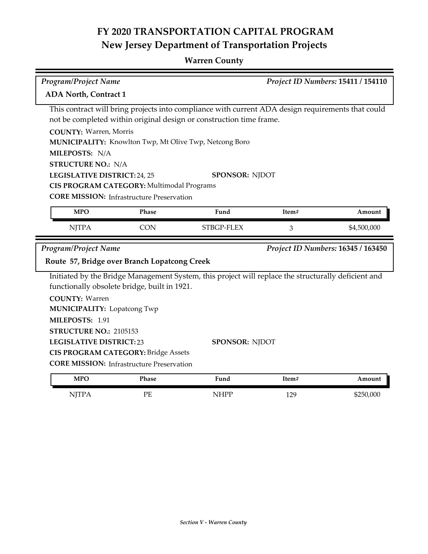## **FY 2020 TRANSPORTATION CAPITAL PROGRAM New Jersey Department of Transportation Projects**

## **Warren County**

| Program/Project Name                                                                              |                                                  |                                                                                                     | Project ID Numbers: 15411 / 154110 |                                    |  |  |  |
|---------------------------------------------------------------------------------------------------|--------------------------------------------------|-----------------------------------------------------------------------------------------------------|------------------------------------|------------------------------------|--|--|--|
| <b>ADA North, Contract 1</b>                                                                      |                                                  |                                                                                                     |                                    |                                    |  |  |  |
| This contract will bring projects into compliance with current ADA design requirements that could |                                                  |                                                                                                     |                                    |                                    |  |  |  |
| not be completed within original design or construction time frame.                               |                                                  |                                                                                                     |                                    |                                    |  |  |  |
| <b>COUNTY: Warren, Morris</b>                                                                     |                                                  |                                                                                                     |                                    |                                    |  |  |  |
| MUNICIPALITY: Knowlton Twp, Mt Olive Twp, Netcong Boro                                            |                                                  |                                                                                                     |                                    |                                    |  |  |  |
| MILEPOSTS: N/A                                                                                    |                                                  |                                                                                                     |                                    |                                    |  |  |  |
| <b>STRUCTURE NO.: N/A</b>                                                                         |                                                  |                                                                                                     |                                    |                                    |  |  |  |
| LEGISLATIVE DISTRICT: 24, 25<br><b>SPONSOR: NJDOT</b>                                             |                                                  |                                                                                                     |                                    |                                    |  |  |  |
| CIS PROGRAM CATEGORY: Multimodal Programs<br><b>CORE MISSION:</b> Infrastructure Preservation     |                                                  |                                                                                                     |                                    |                                    |  |  |  |
|                                                                                                   |                                                  |                                                                                                     |                                    |                                    |  |  |  |
| <b>MPO</b>                                                                                        | Phase                                            | Fund                                                                                                | Item#                              | Amount                             |  |  |  |
| <b>NJTPA</b>                                                                                      | <b>CON</b>                                       | STBGP-FLEX                                                                                          | 3                                  | \$4,500,000                        |  |  |  |
|                                                                                                   |                                                  |                                                                                                     |                                    |                                    |  |  |  |
| Program/Project Name                                                                              |                                                  |                                                                                                     |                                    | Project ID Numbers: 16345 / 163450 |  |  |  |
|                                                                                                   | Route 57, Bridge over Branch Lopatcong Creek     |                                                                                                     |                                    |                                    |  |  |  |
|                                                                                                   |                                                  | Initiated by the Bridge Management System, this project will replace the structurally deficient and |                                    |                                    |  |  |  |
|                                                                                                   | functionally obsolete bridge, built in 1921.     |                                                                                                     |                                    |                                    |  |  |  |
| <b>COUNTY: Warren</b>                                                                             |                                                  |                                                                                                     |                                    |                                    |  |  |  |
| <b>MUNICIPALITY: Lopatcong Twp</b>                                                                |                                                  |                                                                                                     |                                    |                                    |  |  |  |
| MILEPOSTS: 1.91                                                                                   |                                                  |                                                                                                     |                                    |                                    |  |  |  |
| STRUCTURE NO.: 2105153                                                                            |                                                  |                                                                                                     |                                    |                                    |  |  |  |
| <b>LEGISLATIVE DISTRICT:23</b>                                                                    |                                                  | <b>SPONSOR: NJDOT</b>                                                                               |                                    |                                    |  |  |  |
|                                                                                                   | <b>CIS PROGRAM CATEGORY: Bridge Assets</b>       |                                                                                                     |                                    |                                    |  |  |  |
|                                                                                                   | <b>CORE MISSION:</b> Infrastructure Preservation |                                                                                                     |                                    |                                    |  |  |  |
| <b>MPO</b>                                                                                        | Phase                                            | Fund                                                                                                | Item#                              | Amount                             |  |  |  |
| <b>NJTPA</b>                                                                                      | PE                                               | <b>NHPP</b>                                                                                         | 129                                | \$250,000                          |  |  |  |